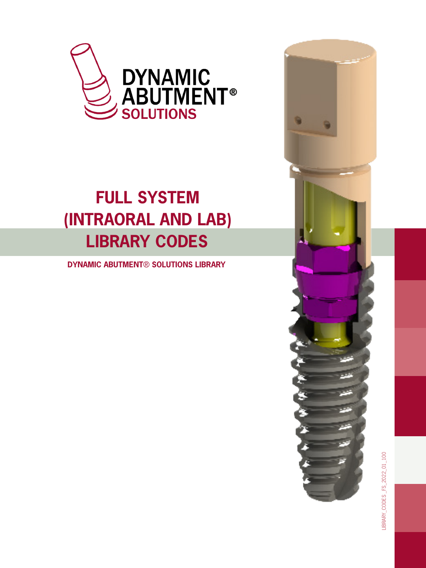

## **FULL SYSTEM (INTRAORAL AND LAB) LIBRARY CODES**

 **DYNAMIC ABUTMENT**® **SOLUTIONS LIBRARY**



LIBRARY\_CODES \_FS\_2022\_01\_100 LIBRARY\_CODES \_FS\_2022\_01\_100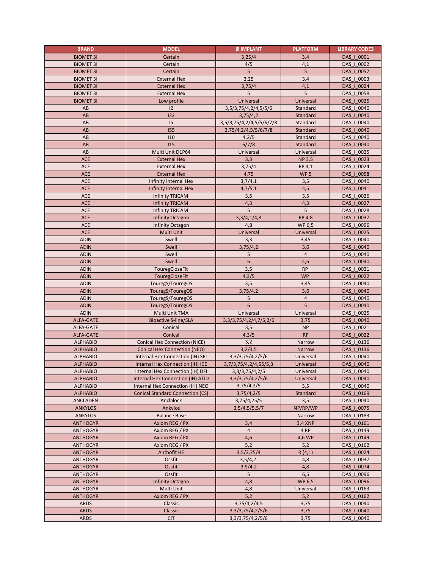| <b>BRAND</b>                       | <b>MODEL</b>                            | Ø IMPLANT                   | <b>PLATFORM</b> | <b>LIBRARY CODE3</b>     |
|------------------------------------|-----------------------------------------|-----------------------------|-----------------|--------------------------|
| <b>BIOMET 31</b>                   | Certain                                 | 3,25/4                      | 3,4             | DAS   0001               |
| <b>BIOMET 31</b>                   | Certain                                 | 4/5                         | 4,1             | DAS   0002               |
| <b>BIOMET 3I</b>                   | Certain                                 | 5                           | 5               | DAS   0057               |
| <b>BIOMET 3I</b>                   | <b>External Hex</b>                     | 3,25                        | 3,4             | DAS   0003               |
| <b>BIOMET 3I</b>                   | <b>External Hex</b>                     | 3,75/4                      | 4,1             | DAS   0024               |
| <b>BIOMET 3I</b>                   | <b>External Hex</b>                     | 5                           | 5               | DAS   0058               |
| <b>BIOMET 3I</b>                   | Low profile                             | Universal                   | Universal       | DAS   0025               |
| AB                                 | 12                                      | 3,5/3,75/4,2/4,5/5/6        | Standard        | DAS   0040               |
| AB                                 | 122                                     | 3,75/4,2                    | Standard        | DAS   0040               |
| AB                                 | 15                                      | 3,5/3,75/4,2/4,5/5/6/7/8    | Standard        | DAS   0040               |
| AB                                 | 155                                     | 3,75/4,2/4,5/5/6/7/8        | Standard        | DAS   0040               |
| AB                                 | 110                                     | 4,2/5                       | Standard        | DAS   0040               |
| AB                                 | 115                                     | 6/7/8                       | Standard        | DAS_I_0040               |
| AB                                 | Multi Unit D1P64                        | Universal                   | Universal       | DAS   0025               |
| <b>ACE</b>                         | <b>External Hex</b>                     | 3,3                         | <b>NP 3,5</b>   | DAS   0023               |
| ACE                                | <b>External Hex</b>                     | 3,75/4                      | RP 4,1          | DAS   0024               |
| <b>ACE</b>                         | <b>External Hex</b>                     | 4,75                        | WP <sub>5</sub> | DAS   0058               |
| ACE                                | Infinity Internal Hex                   | 3,7/4,1                     | 3,5             | DAS   0040               |
| ACE                                | Infinity Internal Hex                   | 4,7/5,1                     | 4,5             | DAS   0041               |
| ACE                                | <b>Infinity TRICAM</b>                  | 3,5                         | 3,5             | DAS   0026               |
| <b>ACE</b>                         | <b>Infinity TRICAM</b>                  | 4,3                         | 4,3             | DAS   0027               |
| ACE                                | <b>Infinity TRICAM</b>                  | 5                           | 5               | DAS   0028               |
| ACE                                | Infinity Octagon                        | 3,3/4,1/4,8                 | <b>RP 4,8</b>   | DAS   0037               |
| ACE                                | Infinity Octagon                        | 4,8                         | WP 6,5          | DAS   0096               |
| ACE                                | Multi Unit                              | Universal                   | Universal       | DAS   0025               |
| <b>ADIN</b>                        | Swell                                   | 3,3                         | 3,45            | DAS_I_0040               |
| <b>ADIN</b>                        | Swell                                   | 3,75/4,2                    | 3,6             | DAS   0040               |
| <b>ADIN</b>                        | Swell                                   | 5                           | $\overline{4}$  | DAS   0040               |
| <b>ADIN</b>                        | Swell                                   | $\boldsymbol{6}$            | 4,6             | DAS   0040               |
| <b>ADIN</b>                        | TouregCloseFit                          | 3,5                         | <b>RP</b>       | DAS   0021               |
| <b>ADIN</b>                        | TouregCloseFit                          | 4,3/5                       | <b>WP</b>       | DAS   0022               |
| <b>ADIN</b>                        | TouregS/TouregOS                        | 3,5                         | 3,45            | DAS   0040               |
| <b>ADIN</b>                        | TouregS/TouregOS                        | 3,75/4,2                    | 3,6             | DAS   0040               |
| <b>ADIN</b>                        | TouregS/TouregOS                        | 5                           | $\overline{4}$  | DAS   0040               |
| <b>ADIN</b>                        | TouregS/TouregOS                        | 6                           | 5               | DAS   0040               |
| <b>ADIN</b>                        | Multi Unit TMA                          | Universal                   | Universal       | DAS   0025               |
| <b>ALFA-GATE</b>                   | <b>Bioactive S-line/SLA</b>             | 3, 3/3, 75/4, 2/4, 7/5, 2/6 | 3,75            | DAS   0040               |
| <b>ALFA-GATE</b>                   | Conical                                 | 3,5                         | <b>NP</b>       | DAS   0021               |
| <b>ALFA-GATE</b>                   | Conical                                 | 4,3/5                       | <b>RP</b>       | DAS   0022               |
| <b>ALPHABIO</b>                    | <b>Conical Hex Connection (NICE)</b>    | 3,2                         | Narrow          | DAS   0136               |
| <b>ALPHABIO</b>                    | <b>Conical Hex Connection (NEO)</b>     | 3,2/3,5                     | Narrow          | DAS   0136               |
| <b>ALPHABIO</b>                    | Internal Hex Connection (IH) SPI        | 3, 3/ 3, 75/ 4, 2/ 5/ 6     | Universal       | DAS   0040               |
| <b>ALPHABIO</b>                    | Internal Hex Connection (IH) ICE        | 3,7/3,75/4,2/4,65/5,3       | Universal       | DAS   0040               |
| <b>ALPHABIO</b>                    | Internal Hex Connection (IH) DFI        | 3, 3/ 3, 75/ 4, 2/ 5        | Universal       | DAS   0040               |
| <b>ALPHABIO</b>                    | Internal Hex Connection (IH) ATID       | 3, 3/ 3, 75/ 4, 2/ 5/ 6     | Universal       | DAS   0040               |
| <b>ALPHABIO</b>                    | Internal Hex Connection (IH) NEO        | 3,75/4,2/5                  | 3,5             | DAS   0040               |
| <b>ALPHABIO</b>                    | <b>Conical Standard Connection (CS)</b> | 3,75/4,2/5                  | Standard        | DAS   0169               |
| ANCLADEN                           | Anclalock                               | 3,75/4,25/5                 | 3,5             | DAS   0040               |
| <b>ANKYLOS</b>                     | Ankylos                                 | 3,5/4,5/5,5/7               | NP/RP/WP        | DAS   0075               |
| <b>ANKYLOS</b>                     | <b>Balance Base</b>                     |                             | Narrow          | DAS   0183               |
| <b>ANTHOGYR</b>                    | Axiom REG / PX                          | 3,4                         | 3,4 XNP         | DAS   0161               |
| <b>ANTHOGYR</b>                    | Axiom REG / PX                          | $\overline{4}$              | 4 RP            | DAS   0149               |
| <b>ANTHOGYR</b>                    | Axiom REG / PX                          | 4,6                         | 4,6 WP          | DAS   0149               |
| <b>ANTHOGYR</b>                    | Axiom REG / PX                          | 5,2                         | 5,2             | DAS_I_0162               |
| <b>ANTHOGYR</b>                    | Anthofit HE                             | 3,5/3,75/4                  | R(4,1)          | DAS   0024               |
| <b>ANTHOGYR</b><br><b>ANTHOGYR</b> | Ossfit<br>Ossfit                        | 3,5/4,2                     | 4,8<br>4,8      | DAS   0037<br>DAS   0074 |
| <b>ANTHOGYR</b>                    | Ossfit                                  | 3,5/4,2<br>5                | 6,5             | DAS   0096               |
| <b>ANTHOGYR</b>                    |                                         | 4,8                         | WP 6,5          | DAS   0096               |
| <b>ANTHOGYR</b>                    | <b>Infinity Octagon</b><br>Multi Unit   | 4,8                         | Universal       | DAS   0163               |
| <b>ANTHOGYR</b>                    | Axiom REG / PX                          | 5,2                         | 5,2             | DAS   0162               |
| <b>ARDS</b>                        | Classic                                 | 3,75/4,2/4,5                | 3,75            | DAS   0040               |
| <b>ARDS</b>                        | Classic                                 | 3, 3/ 3, 75/ 4, 2/ 5/ 6     | 3,75            | DAS   0040               |
| <b>ARDS</b>                        | <b>CIT</b>                              | 3, 3/ 3, 75/ 4, 2/ 5/ 6     | 3,75            | DAS   0040               |
|                                    |                                         |                             |                 |                          |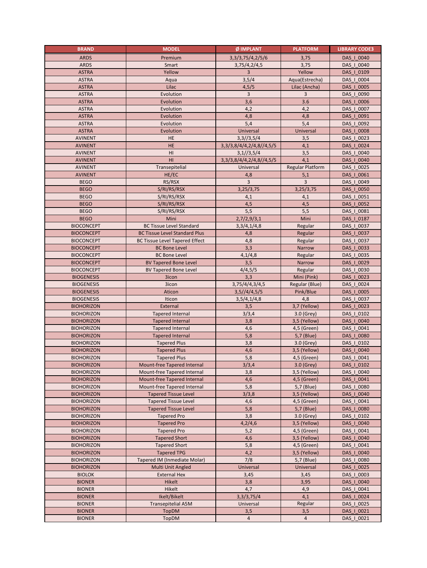| <b>BRAND</b>                           | <b>MODEL</b>                             | Ø IMPLANT                     | <b>PLATFORM</b>             | <b>LIBRARY CODE3</b>     |
|----------------------------------------|------------------------------------------|-------------------------------|-----------------------------|--------------------------|
| <b>ARDS</b>                            | Premium                                  | 3, 3/ 3, 75/ 4, 2/ 5/ 6       | 3,75                        | DAS   0040               |
| <b>ARDS</b>                            | Smart                                    | 3,75/4,2/4,5                  | 3,75                        | DAS   0040               |
| <b>ASTRA</b>                           | Yellow                                   | 3                             | Yellow                      | DAS   0109               |
| <b>ASTRA</b>                           | Aqua                                     | 3,5/4                         | Aqua(Estrecha)              | DAS_I_0004               |
| <b>ASTRA</b>                           | Lilac                                    | 4,5/5                         | Lilac (Ancha)               | DAS   0005               |
| <b>ASTRA</b>                           | Evolution                                | $\overline{3}$                | 3                           | DAS   0090               |
| <b>ASTRA</b>                           | Evolution                                | 3,6                           | 3.6                         | DAS   0006               |
| <b>ASTRA</b>                           | Evolution                                | 4,2                           | 4,2                         | DAS   0007               |
| <b>ASTRA</b>                           | Evolution                                | 4,8                           | 4,8                         | DAS   0091               |
| <b>ASTRA</b>                           | Evolution                                | 5,4                           | 5,4                         | DAS   0092               |
| <b>ASTRA</b>                           | Evolution                                | Universal                     | Universal                   | DAS   0008               |
| <b>AVINENT</b>                         | HE                                       | 3,3//3,5/4                    | 3,5                         | DAS   0023               |
| <b>AVINENT</b>                         | HE                                       | 3, 3/3, 8/4/4, 2/4, 8//4, 5/5 | 4,1                         | DAS   0024               |
| <b>AVINENT</b>                         | HI                                       | 3,1//3,5/4                    | 3,5                         | DAS   0040               |
| <b>AVINENT</b>                         | HI                                       | 3, 3/3, 8/4/4, 2/4, 8//4, 5/5 | 4,1                         | DAS   0040               |
| <b>AVINENT</b>                         | Transepitelial                           | Universal                     | Regular Platform            | DAS   0025               |
| <b>AVINENT</b>                         | HE/EC                                    | 4,8                           | 5,1                         | DAS_I_0061               |
| <b>BEGO</b>                            | RS/RSX                                   | $\overline{3}$                | 3                           | DAS   0049               |
| <b>BEGO</b>                            | S/RI/RS/RSX                              | 3,25/3,75                     | 3,25/3,75                   | DAS   0050               |
| <b>BEGO</b>                            | S/RI/RS/RSX                              | 4,1                           | 4,1                         | DAS   0051               |
| <b>BEGO</b>                            | S/RI/RS/RSX                              | 4,5                           | 4,5                         | DAS   0052               |
| <b>BEGO</b>                            | S/RI/RS/RSX                              | 5,5                           | 5,5                         | DAS   0081               |
| <b>BEGO</b>                            | Mini                                     | 2,7/2,9/3,1                   | Mini                        | DAS_I_0187               |
| <b>BIOCONCEPT</b>                      | <b>BC Tissue Level Standard</b>          | 3,3/4,1/4,8                   | Regular                     | DAS   0037               |
| <b>BIOCONCEPT</b>                      | <b>BC Tissue Level Standard Plus</b>     | 4,8                           | Regular                     | DAS   0037               |
| <b>BIOCONCEPT</b>                      | <b>BC Tissue Level Tapered Effect</b>    | 4,8                           | Regular                     | DAS   0037               |
| <b>BIOCONCEPT</b>                      | <b>BC Bone Level</b>                     | 3,3                           | Narrow                      | DAS   0033               |
| <b>BIOCONCEPT</b>                      | <b>BC Bone Level</b>                     | 4,1/4,8                       | Regular                     | DAS   0035               |
| <b>BIOCONCEPT</b>                      | <b>BV Tapered Bone Level</b>             | 3,5                           | Narrow                      | DAS   0029               |
| <b>BIOCONCEPT</b>                      | <b>BV Tapered Bone Level</b>             | 4/4,5/5                       | Regular                     | DAS_I_0030               |
| <b>BIOGENESIS</b>                      | 3icon                                    | 3,3                           | Mini (Pink)                 | DAS   0023               |
| <b>BIOGENESIS</b>                      | 3icon                                    | 3,75/4/4,3/4,5                | Regular (Blue)              | DAS   0024               |
| <b>BIOGENESIS</b>                      | Aticon                                   | 3,5//4/4,5/5                  | Pink/Blue                   | DAS   0005               |
| <b>BIOGENESIS</b>                      | Iticon                                   | 3,5/4,1/4,8                   | 4,8                         | DAS   0037               |
| <b>BIOHORIZON</b>                      | External                                 | 3,5                           | 3,7 (Yellow)                | DAS   0023               |
| <b>BIOHORIZON</b>                      | <b>Tapered Internal</b>                  | 3/3,4                         | 3.0 (Grey)                  | DAS   0102               |
| <b>BIOHORIZON</b>                      | <b>Tapered Internal</b>                  | 3,8                           | 3,5 (Yellow)                | DAS   0040               |
| <b>BIOHORIZON</b>                      | <b>Tapered Internal</b>                  | 4,6                           | 4,5 (Green)                 | DAS   0041               |
| <b>BIOHORIZON</b>                      | <b>Tapered Internal</b>                  | 5,8                           | 5,7 (Blue)                  | DAS   0080               |
| <b>BIOHORIZON</b>                      | <b>Tapered Plus</b>                      | 3,8                           | 3.0 (Grey)                  | DAS   0102               |
| <b>BIOHORIZON</b>                      | <b>Tapered Plus</b>                      | 4,6                           | 3,5 (Yellow)                | DAS   0040               |
| <b>BIOHORIZON</b>                      | <b>Tapered Plus</b>                      | 5,8                           | 4,5 (Green)                 | DAS   0041               |
| <b>BIOHORIZON</b>                      | Mount-free Tapered Internal              | 3/3,4                         | 3.0 (Grey)                  | DAS   0102               |
| <b>BIOHORIZON</b>                      | Mount-free Tapered Internal              | 3,8                           | 3,5 (Yellow)                | DAS   0040               |
| <b>BIOHORIZON</b>                      | Mount-free Tapered Internal              | 4,6                           | 4,5 (Green)                 | DAS   0041               |
| <b>BIOHORIZON</b>                      | Mount-free Tapered Internal              | 5,8                           | 5,7 (Blue)                  | DAS   0080               |
| <b>BIOHORIZON</b>                      | <b>Tapered Tissue Level</b>              | 3/3,8                         | 3,5 (Yellow)                | DAS   0040               |
| <b>BIOHORIZON</b>                      | <b>Tapered Tissue Level</b>              | 4,6                           | 4,5 (Green)                 | DAS   0041               |
| <b>BIOHORIZON</b>                      | <b>Tapered Tissue Level</b>              | 5,8                           | 5,7 (Blue)                  | DAS   0080               |
| <b>BIOHORIZON</b>                      | <b>Tapered Pro</b><br><b>Tapered Pro</b> | 3,8                           | 3.0 (Grey)                  | DAS   0102<br>DAS   0040 |
| <b>BIOHORIZON</b><br><b>BIOHORIZON</b> | <b>Tapered Pro</b>                       | 4,2/4,6<br>5,2                | 3,5 (Yellow)<br>4,5 (Green) | DAS   0041               |
| <b>BIOHORIZON</b>                      | <b>Tapered Short</b>                     | 4,6                           | 3,5 (Yellow)                | DAS   0040               |
| <b>BIOHORIZON</b>                      | <b>Tapered Short</b>                     | 5,8                           | 4,5 (Green)                 | DAS   0041               |
| <b>BIOHORIZON</b>                      | <b>Tapered TPG</b>                       | 4,2                           | 3,5 (Yellow)                | DAS   0040               |
| <b>BIOHORIZON</b>                      | Tapered IM (Inmediate Molar)             | 7/8                           | 5,7 (Blue)                  | DAS_I_0080               |
| <b>BIOHORIZON</b>                      | Multi Unit Angled                        | Universal                     | Universal                   | DAS   0025               |
| <b>BIOLOK</b>                          | <b>External Hex</b>                      | 3,45                          | 3,45                        | DAS   0003               |
| <b>BIONER</b>                          | Hikelt                                   | 3,8                           | 3,95                        | DAS   0040               |
| <b>BIONER</b>                          | Hikelt                                   | 4,7                           | 4,9                         | DAS   0041               |
| <b>BIONER</b>                          | Ikelt/Bikelt                             | 3,3/3,75/4                    | 4,1                         | DAS   0024               |
| <b>BIONER</b>                          | Transepitelial A5M                       | Universal                     | Regular                     | DAS   0025               |
| <b>BIONER</b>                          | <b>TopDM</b>                             | 3,5                           | 3,5                         | DAS   0021               |
| <b>BIONER</b>                          | <b>TopDM</b>                             | $\overline{4}$                | $\overline{4}$              | DAS   0021               |
|                                        |                                          |                               |                             |                          |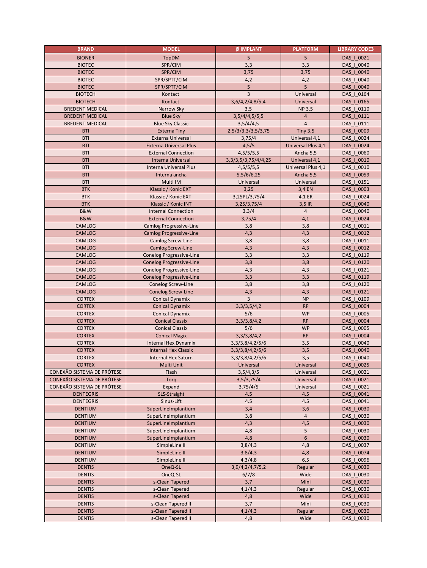| <b>BRAND</b>                   | <b>MODEL</b>                                     | Ø IMPLANT               | <b>PLATFORM</b>    | <b>LIBRARY CODE3</b>     |
|--------------------------------|--------------------------------------------------|-------------------------|--------------------|--------------------------|
| <b>BIONER</b>                  | <b>TopDM</b>                                     | 5                       | 5                  | DAS   0021               |
| <b>BIOTEC</b>                  | SPR/CIM                                          | 3,3                     | 3,3                | DAS   0040               |
| <b>BIOTEC</b>                  | SPR/CIM                                          | 3,75                    | 3,75               | DAS   0040               |
| <b>BIOTEC</b>                  | SPR/SPTT/CIM                                     | 4,2                     | 4,2                | DAS_I_0040               |
| <b>BIOTEC</b>                  | SPR/SPTT/CIM                                     | $5\phantom{.0}$         | 5                  | DAS   0040               |
| <b>BIOTECH</b>                 | Kontact                                          | $\overline{3}$          | Universal          | DAS   0164               |
| <b>BIOTECH</b>                 | Kontact                                          | 3,6/4,2/4,8/5,4         | Universal          | DAS   0165               |
| <b>BREDENT MEDICAL</b>         | Narrow Sky                                       | 3,5                     | <b>NP3,5</b>       | DAS   0110               |
| <b>BREDENT MEDICAL</b>         | <b>Blue Sky</b>                                  | 3,5/4/4,5/5,5           | 4                  | DAS   0111               |
| <b>BREDENT MEDICAL</b>         | <b>Blue Sky Classic</b>                          | 3,5/4/4,5               | $\overline{4}$     | DAS   0111               |
| <b>BTI</b>                     | <b>Externa Tiny</b>                              | 2,5/3/3,3/3,5/3,75      | <b>Tiny 3,5</b>    | DAS   0009               |
| <b>BTI</b>                     | Externa Universal                                | 3.75/4                  | Universal 4,1      | DAS   0024               |
| <b>BTI</b>                     | <b>Externa Universal Plus</b>                    | 4,5/5                   | Universal Plus 4,1 | DAS   0024               |
| <b>BTI</b>                     | <b>External Connection</b>                       | 4,5/5/5,5               | Ancha 5,5          | DAS   0060               |
| <b>BTI</b>                     | <b>Interna Universal</b>                         | 3, 3/3, 5/3, 75/4/4, 25 | Universal 4,1      | DAS   0010               |
| <b>BTI</b>                     | Interna Universal Plus                           | 4,5/5/5,5               | Universal Plus 4,1 | DAS   0010               |
| <b>BTI</b>                     | Interna ancha                                    | 5,5/6/6,25              | Ancha 5,5          | DAS_I_0059               |
| <b>BTI</b>                     | Multi IM                                         | Universal               | Universal          | DAS   0151               |
| <b>BTK</b>                     | Klassic / Konic EXT                              | 3,25                    | 3,4 EN             | DAS   0003               |
| <b>BTK</b>                     | Klassic / Konic EXT                              | 3,25PL/3,75/4           | 4,1 ER             | DAS   0024               |
| <b>BTK</b>                     | Klassic / Konic INT                              | 3,25/3,75/4             | 3,5 IR             | DAS   0040               |
| <b>B&amp;W</b>                 | <b>Internal Connection</b>                       | 3,3/4                   | $\overline{4}$     | DAS   0040               |
| B&W                            | <b>External Connection</b>                       | 3,75/4                  | 4,1                | DAS   0024               |
| CAMLOG                         | Camlog Progressive-Line                          | 3,8                     | 3,8                | DAS   0011               |
| CAMLOG                         | <b>Camlog Progressive-Line</b>                   | 4,3                     | 4,3                | DAS   0012               |
| CAMLOG                         | Camlog Screw-Line                                | 3,8                     | 3,8                | DAS   0011               |
| <b>CAMLOG</b>                  | <b>Camlog Screw-Line</b>                         | 4,3                     | 4,3                | DAS   0012               |
| CAMLOG                         | Conelog Progressive-Line                         | 3,3                     | 3,3                | DAS   0119               |
| <b>CAMLOG</b>                  | <b>Conelog Progressive-Line</b>                  | 3,8                     | 3,8                | DAS   0120               |
| CAMLOG                         | Conelog Progressive-Line                         | 4,3                     | 4,3                | DAS_I_0121               |
| <b>CAMLOG</b>                  | <b>Conelog Progressive-Line</b>                  | 3,3                     | 3,3                | DAS   0119               |
| CAMLOG                         | Conelog Screw-Line                               | 3,8                     | 3,8                | DAS   0120               |
| <b>CAMLOG</b>                  | <b>Conelog Screw-Line</b>                        | 4,3<br>$\overline{3}$   | 4,3<br><b>NP</b>   | DAS   0121               |
| <b>CORTEX</b>                  | Conical Dynamix                                  |                         | <b>RP</b>          | DAS   0109               |
| <b>CORTEX</b><br><b>CORTEX</b> | <b>Conical Dynamix</b><br><b>Conical Dynamix</b> | 3,3/3,5/4,2<br>5/6      | <b>WP</b>          | DAS   0004<br>DAS   0005 |
| <b>CORTEX</b>                  | <b>Conical Classix</b>                           | 3, 3/ 3, 8/ 4, 2        | <b>RP</b>          | DAS   0004               |
| <b>CORTEX</b>                  | <b>Conical Classix</b>                           | 5/6                     | <b>WP</b>          | DAS   0005               |
| <b>CORTEX</b>                  | <b>Conical Magix</b>                             | 3,3/3,8/4,2             | <b>RP</b>          | DAS   0004               |
| <b>CORTEX</b>                  | Internal Hex Dynamix                             | 3, 3/ 3, 8/ 4, 2/ 5/ 6  | 3,5                | DAS   0040               |
| <b>CORTEX</b>                  | <b>Internal Hex Classix</b>                      | 3,3/3,8/4,2/5/6         | 3,5                | DAS   0040               |
| <b>CORTEX</b>                  | Internal Hex Saturn                              | 3,3/3,8/4,2/5/6         | 3,5                | DAS   0040               |
| <b>CORTEX</b>                  | Multi Unit                                       | Universal               | Universal          | DAS   0025               |
| CONEXÃO SISTEMA DE PRÓTESE     | Flash                                            | 3,5/4,3/5               | Universal          | DAS_I_0021               |
| CONEXÃO SISTEMA DE PRÓTESE     | Torq                                             | 3,5/3,75/4              | Universal          | DAS   0021               |
| CONEXÃO SISTEMA DE PRÓTESE     | Expand                                           | 3,75/4/5                | Universal          | DAS   0021               |
| <b>DENTEGRIS</b>               | SLS-Straight                                     | 4.5                     | 4.5                | DAS   0041               |
| <b>DENTEGRIS</b>               | Sinus-Lift                                       | 4.5                     | 4.5                | DAS   0041               |
| <b>DENTIUM</b>                 | SuperLineImplantium                              | 3,4                     | 3,6                | DAS   0030               |
| <b>DENTIUM</b>                 | SuperLineImplantium                              | 3,8                     | $\overline{4}$     | DAS   0030               |
| <b>DENTIUM</b>                 | SuperLineImplantium                              | 4,3                     | 4,5                | DAS   0030               |
| <b>DENTIUM</b>                 | SuperLineImplantium                              | 4,8                     | 5                  | DAS   0030               |
| <b>DENTIUM</b>                 | SuperLineImplantium                              | 4,8                     | 6                  | DAS   0030               |
| <b>DENTIUM</b>                 | SimpleLine II                                    | 3,8/4,3                 | 4,8                | DAS   0037               |
| <b>DENTIUM</b>                 | SimpleLine II                                    | 3,8/4,3                 | 4,8                | DAS   0074               |
| <b>DENTIUM</b>                 | SimpleLine II                                    | 4,3/4,8                 | 6, 5               | DAS_I_0096               |
| <b>DENTIS</b>                  | OneQ-SL                                          | 3,9/4,2/4,7/5,2         | Regular            | DAS   0030               |
| <b>DENTIS</b>                  | OneQ-SL                                          | 6/7/8                   | Wide               | DAS   0030               |
| <b>DENTIS</b>                  | s-Clean Tapered                                  | 3,7                     | Mini               | DAS   0030               |
| <b>DENTIS</b>                  | s-Clean Tapered                                  | 4,1/4,3                 | Regular            | DAS   0030               |
| <b>DENTIS</b>                  | s-Clean Tapered                                  | 4,8                     | Wide               | DAS_I_0030               |
| <b>DENTIS</b>                  | s-Clean Tapered II                               | 3,7                     | Mini               | DAS   0030               |
| <b>DENTIS</b>                  | s-Clean Tapered II                               | 4,1/4,3                 | Regular            | DAS   0030               |
| <b>DENTIS</b>                  | s-Clean Tapered II                               | 4,8                     | Wide               | DAS   0030               |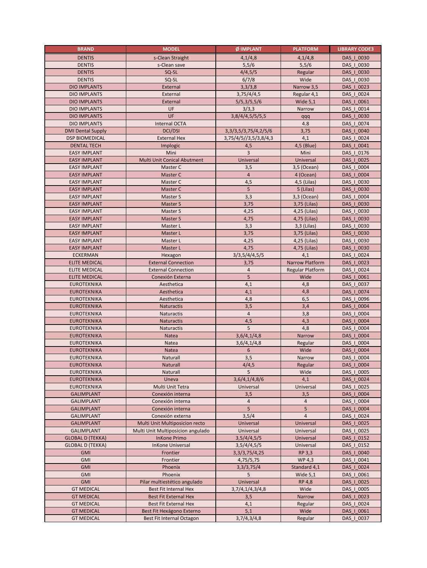| <b>BRAND</b>                           | <b>MODEL</b>                                                        | Ø IMPLANT                  | <b>PLATFORM</b>         | <b>LIBRARY CODE3</b>     |
|----------------------------------------|---------------------------------------------------------------------|----------------------------|-------------------------|--------------------------|
| <b>DENTIS</b>                          | s-Clean Straight                                                    | 4,1/4,8                    | 4,1/4,8                 | DAS   0030               |
| <b>DENTIS</b>                          | s-Clean save                                                        | 5,5/6                      | 5,5/6                   | DAS   0030               |
| <b>DENTIS</b>                          | SQ-SL                                                               | 4/4,5/5                    | Regular                 | DAS   0030               |
| <b>DENTIS</b>                          | SQ-SL                                                               | 6/7/8                      | Wide                    | DAS   0030               |
| <b>DIO IMPLANTS</b>                    | External                                                            | 3,3/3,8                    | Narrow 3,5              | DAS   0023               |
| <b>DIO IMPLANTS</b>                    | External                                                            | 3,75/4/4,5                 | Regular 4,1             | DAS   0024               |
| <b>DIO IMPLANTS</b>                    | External                                                            | 5/5,3/5,5/6                | Wide $5,1$              | DAS   0061               |
| <b>DIO IMPLANTS</b>                    | UF                                                                  | 3/3,3                      | Narrow                  | DAS   0014               |
| <b>DIO IMPLANTS</b>                    | UF                                                                  | 3,8/4/4,5/5/5,5            | qqq                     | DAS   0030               |
| <b>DIO IMPLANTS</b>                    | Internal OCTA                                                       |                            | 4.8                     | DAS   0074               |
| <b>DMI Dental Supply</b>               | <b>DCI/DSI</b>                                                      | 3, 3/3, 5/3, 75/4, 2/5/6   | 3,75                    | DAS   0040               |
| <b>DSP BIOMEDICAL</b>                  | <b>External Hex</b>                                                 | 3,75/4/5//3,5/3,8/4,3      | 4,1                     | DAS   0024               |
| <b>DENTAL TECH</b>                     | Implogic                                                            | 4,5                        | 4,5 (Blue)              | DAS   0041               |
| <b>EASY IMPLANT</b>                    | Mini                                                                | 3                          | Mini                    | DAS   0176               |
| <b>EASY IMPLANT</b>                    | Multi Unit Conical Abutment                                         | Universal                  | Universal               | DAS   0025               |
| <b>EASY IMPLANT</b>                    | Master C                                                            | 3,5                        | 3,5 (Ocean)             | DAS   0004               |
| <b>EASY IMPLANT</b>                    | Master C                                                            | $\overline{4}$             | 4 (Ocean)               | DAS   0004               |
| <b>EASY IMPLANT</b>                    | Master C                                                            | 4,5                        | 4,5 (Lilas)             | DAS   0030               |
| <b>EASY IMPLANT</b>                    | Master C                                                            | $5\phantom{.0}$            | 5 (Lilas)               | DAS   0030               |
| <b>EASY IMPLANT</b>                    | Master S                                                            | 3,3                        | 3,3 (Ocean)             | DAS   0004               |
| <b>EASY IMPLANT</b>                    | Master S                                                            | 3,75                       | 3,75 (Lilas)            | DAS   0030               |
| <b>EASY IMPLANT</b>                    | Master S                                                            | 4,25                       | 4,25 (Lilas)            | DAS   0030               |
| <b>EASY IMPLANT</b>                    | Master S                                                            | 4,75                       | 4,75 (Lilas)            | DAS   0030               |
| <b>EASY IMPLANT</b>                    | Master L                                                            | 3,3                        | 3,3 (Lilas)             | DAS   0030               |
| <b>EASY IMPLANT</b>                    | Master L                                                            | 3,75                       | 3,75 (Lilas)            | DAS   0030               |
| <b>EASY IMPLANT</b>                    | Master L                                                            | 4,25                       | 4,25 (Lilas)            | DAS_I_0030               |
| <b>EASY IMPLANT</b>                    | Master L                                                            | 4,75                       | 4,75 (Lilas)            | DAS   0030               |
| <b>ECKERMAN</b>                        | Hexagon                                                             | 3/3,5/4/4,5/5              | 4,1                     | DAS   0024               |
| <b>ELITE MEDICAL</b>                   | <b>External Connection</b>                                          | 3,75                       | Narrow Platform         | DAS   0023               |
| <b>ELITE MEDICAL</b>                   | <b>External Connection</b>                                          | $\overline{4}$             | <b>Regular Platform</b> | DAS   0024               |
| <b>ELITE MEDICAL</b>                   | Conexión Externa                                                    | 5                          | Wide                    | DAS   0061               |
| <b>EUROTEKNIKA</b>                     | Aesthetica                                                          | 4,1                        | 4,8                     | DAS   0037               |
| <b>EUROTEKNIKA</b>                     | Aesthetica                                                          | 4,1                        | 4,8                     | DAS   0074               |
| <b>EUROTEKNIKA</b>                     | Aesthetica                                                          | 4,8                        | 6, 5                    | DAS   0096               |
| <b>EUROTEKNIKA</b>                     | Naturactis                                                          | 3,5                        | 3,4                     | DAS   0004               |
| <b>EUROTEKNIKA</b>                     | Naturactis                                                          | $\overline{4}$             | 3,8                     | DAS   0004               |
| <b>EUROTEKNIKA</b>                     | Naturactis                                                          | 4,5                        | 4,3                     | DAS   0004               |
| <b>EUROTEKNIKA</b>                     | Naturactis                                                          | 5                          | 4,8                     | DAS   0004               |
| <b>EUROTEKNIKA</b>                     | Natea                                                               | 3,6/4,1/4,8                | Narrow                  | DAS   0004               |
| <b>EUROTEKNIKA</b>                     | Natea                                                               | 3,6/4,1/4,8                | Regular                 | DAS   0004               |
| <b>EUROTEKNIKA</b>                     | Natea                                                               | 6                          | Wide                    | DAS   0004               |
| <b>EUROTEKNIKA</b>                     | Naturall                                                            | 3,5                        | Narrow                  | DAS   0004               |
| <b>EUROTEKNIKA</b>                     | <b>Naturall</b>                                                     | 4/4,5                      | Regular                 | DAS   0004               |
| <b>EUROTEKNIKA</b>                     | Naturall                                                            | 5                          | Wide                    | DAS   0005               |
| <b>EUROTEKNIKA</b>                     | Uneva                                                               | 3,6/4,1/4,8/6              | 4,1                     | DAS   0024               |
| <b>EUROTEKNIKA</b>                     | Multi Unit Tetra                                                    | Universal                  | Universal               | DAS   0025               |
| <b>GALIMPLANT</b>                      | Conexión interna                                                    |                            |                         | DAS   0004               |
| <b>GALIMPLANT</b>                      | Conexión interna                                                    | 3,5<br>$\overline{4}$      | 3,5<br>$\overline{4}$   | DAS   0004               |
| <b>GALIMPLANT</b>                      | Conexión interna                                                    | 5                          | 5                       | DAS   0004               |
| <b>GALIMPLANT</b>                      | Conexión externa                                                    | 3,5/4                      | $\overline{4}$          | DAS   0024               |
|                                        |                                                                     |                            |                         |                          |
| <b>GALIMPLANT</b><br><b>GALIMPLANT</b> | Multi Unit Multiposicion recto<br>Multi Unit Multiposicion angulado | Universal<br>Universal     | Universal<br>Universal  | DAS   0025<br>DAS_I_0025 |
| <b>GLOBAL D (TEKKA)</b>                | <b>InKone Primo</b>                                                 |                            |                         | DAS   0152               |
| <b>GLOBAL D (TEKKA)</b>                | <b>InKone Universal</b>                                             | 3,5/4/4,5/5<br>3,5/4/4,5/5 | Universal<br>Universal  | DAS   0152               |
| <b>GMI</b>                             | Frontier                                                            | 3, 3/ 3, 75/ 4, 25         | RP 3,3                  | DAS   0040               |
| <b>GMI</b>                             |                                                                     |                            | WP 4.3                  | DAS   0041               |
|                                        | Frontier                                                            | 4,75/5,75                  |                         | DAS   0024               |
| <b>GMI</b><br><b>GMI</b>               | Phoenix<br>Phoenix                                                  | 3,3/3,75/4<br>5            | Standard 4,1            |                          |
|                                        |                                                                     |                            | Wide $5,1$              | DAS   0061               |
| <b>GMI</b>                             | Pilar multiestético angulado                                        | Universal                  | <b>RP 4,8</b>           | DAS   0025               |
| <b>GT MEDICAL</b>                      | Best Fit Internal Hex<br><b>Best Fit External Hex</b>               | 3,7/4,1/4,3/4,8            | Wide                    | DAS   0005               |
| <b>GT MEDICAL</b>                      |                                                                     | 3,5                        | Narrow                  | DAS   0023               |
| <b>GT MEDICAL</b><br><b>GT MEDICAL</b> | Best Fit External Hex                                               | 4,1                        | Regular                 | DAS   0024               |
|                                        | Best Fit Hexágono Externo<br>Best Fit Internal Octagon              | 5,1                        | Wide                    | DAS   0061               |
| <b>GT MEDICAL</b>                      |                                                                     | 3,7/4,3/4,8                | Regular                 | DAS   0037               |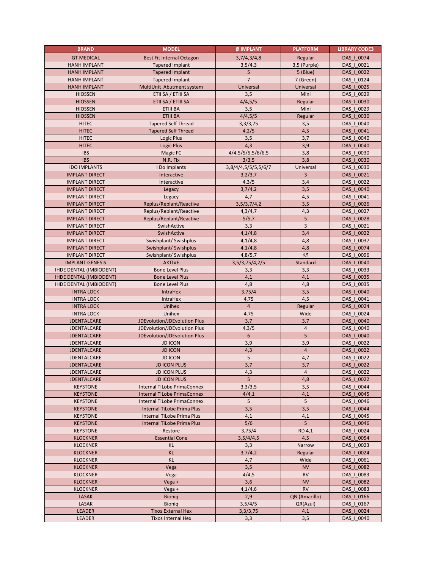| <b>BRAND</b>                   | <b>MODEL</b>                     | Ø IMPLANT           | <b>PLATFORM</b> | <b>LIBRARY CODE3</b>     |
|--------------------------------|----------------------------------|---------------------|-----------------|--------------------------|
| <b>GT MEDICAL</b>              | <b>Best Fit Internal Octagon</b> | 3,7/4,3/4,8         | Regular         | DAS   0074               |
| <b>HANH IMPLANT</b>            | <b>Tapered Implant</b>           | 3,5/4,3             | 3,5 (Purple)    | DAS   0021               |
| <b>HANH IMPLANT</b>            | <b>Tapered Implant</b>           | 5                   | 5 (Blue)        | DAS   0022               |
| <b>HANH IMPLANT</b>            | <b>Tapered Implant</b>           | 7                   | 7 (Green)       | DAS_I_0124               |
| <b>HANH IMPLANT</b>            | MultiUnit Abutment system        | Universal           | Universal       | DAS   0025               |
| <b>HIOSSEN</b>                 | ETII SA / ETIII SA               | 3,5                 | Mini            | DAS   0029               |
| <b>HIOSSEN</b>                 | ETII SA / ETIII SA               | 4/4,5/5             | Regular         | DAS   0030               |
| <b>HIOSSEN</b>                 | ETIII BA                         | 3,5                 | Mini            | DAS   0029               |
| <b>HIOSSEN</b>                 | <b>ETIII BA</b>                  | 4/4,5/5             | Regular         | DAS   0030               |
| <b>HITEC</b>                   | <b>Tapered Self Thread</b>       | 3,3/3,75            | 3,5             | DAS   0040               |
| <b>HITEC</b>                   | <b>Tapered Self Thread</b>       | 4,2/5               | 4,5             | DAS   0041               |
| <b>HITEC</b>                   | Logic Plus                       | 3,5                 | 3,7             | DAS   0040               |
| <b>HITEC</b>                   | Logic Plus                       | 4,3                 | 3,9             | DAS   0040               |
| <b>IBS</b>                     | Magic FC                         | 4/4,5/5/5,5/6/6,5   | 3,8             | DAS   0030               |
| <b>IBS</b>                     | N.R. Fix                         | 3/3,5               | 3,8             | DAS   0030               |
| <b>IDO IMPLANTS</b>            | I Do Implants                    | 3,8/4/4,5/5/5,5/6/7 | Universal       | DAS   0030               |
| <b>IMPLANT DIRECT</b>          | Interactive                      |                     | 3               | DAS_I_0021               |
|                                |                                  | 3,2/3,7             |                 |                          |
| <b>IMPLANT DIRECT</b>          | Interactive                      | 4,3/5               | 3,4             | DAS   0022               |
| <b>IMPLANT DIRECT</b>          | Legacy                           | 3,7/4,2             | 3,5             | DAS   0040               |
| <b>IMPLANT DIRECT</b>          | Legacy                           | 4,7                 | 4,5             | DAS   0041               |
| <b>IMPLANT DIRECT</b>          | Replus/Replant/Reactive          | 3,5/3,7/4,2         | 3,5             | DAS   0026               |
| <b>IMPLANT DIRECT</b>          | Replus/Replant/Reactive          | 4,3/4,7             | 4,3             | DAS   0027               |
| <b>IMPLANT DIRECT</b>          | Replus/Replant/Reactive          | 5/5,7               | 5               | DAS   0028               |
| <b>IMPLANT DIRECT</b>          | SwishActive                      | 3,3                 | $\overline{3}$  | DAS   0021               |
| <b>IMPLANT DIRECT</b>          | SwishActive                      | 4,1/4,8             | 3,4             | DAS   0022               |
| <b>IMPLANT DIRECT</b>          | Swishplant/ Swishplus            | 4,1/4,8             | 4,8             | DAS   0037               |
| <b>IMPLANT DIRECT</b>          | Swishplant/ Swishplus            | 4,1/4,8             | 4,8             | DAS   0074               |
| <b>IMPLANT DIRECT</b>          | Swishplant/ Swishplus            | 4,8/5,7             | 6,5             | DAS   0096               |
| <b>IMPLANT GENESIS</b>         | <b>AKTIVE</b>                    | 3,5/3,75/4,2/5      | Standard        | DAS   0040               |
| <b>IHDE DENTAL (IMBIODENT)</b> | <b>Bone Level Plus</b>           | 3,3                 | 3,3             | DAS_I_0033               |
| <b>IHDE DENTAL (IMBIODENT)</b> | <b>Bone Level Plus</b>           | 4,1                 | 4,1             | DAS   0035               |
| <b>IHDE DENTAL (IMBIODENT)</b> | <b>Bone Level Plus</b>           | 4,8                 | 4,8             | DAS   0035               |
| <b>INTRA LOCK</b>              | IntraHex                         | 3,75/4              | 3,5             | DAS   0040               |
| <b>INTRA LOCK</b>              | IntraHex                         | 4,75                | 4,5             | DAS   0041               |
| <b>INTRA LOCK</b>              | Unihex                           | $\overline{4}$      | Regular         | DAS   0024               |
| <b>INTRA LOCK</b>              | Unihex                           | 4,75                | Wide            | DAS   0024               |
| <b>JDENTALCARE</b>             | JDEvolution/JDEvolution Plus     | 3,7                 | 3,7             | DAS   0040               |
| <b>JDENTALCARE</b>             | JDEvolution/JDEvolution Plus     | 4,3/5               | $\overline{4}$  | DAS   0040               |
| <b>JDENTALCARE</b>             | JDEvolution/JDEvolution Plus     | 6                   | 5               | DAS   0040               |
| <b>JDENTALCARE</b>             | <b>JD ICON</b>                   | 3,9                 | 3,9             | DAS   0022               |
| <b>JDENTALCARE</b>             | <b>JD ICON</b>                   | 4,3                 | $\overline{4}$  | DAS   0022               |
| <b>JDENTALCARE</b>             | <b>JD ICON</b>                   | 5                   | 4,7             | DAS   0022               |
| <b>JDENTALCARE</b>             | <b>JD ICON PLUS</b>              | 3,7                 | 3,7             | DAS   0022               |
| JDENTALCARE                    | <b>JD ICON PLUS</b>              | 4,3                 | $\overline{4}$  | DAS   0022               |
| <b>JDENTALCARE</b>             | <b>JD ICON PLUS</b>              | 5                   | 4,8             | DAS   0022               |
| <b>KEYSTONE</b>                | Internal TiLobe PrimaConnex      | 3,3/3,5             | 3,5             | DAS   0044               |
| <b>KEYSTONE</b>                | Internal TiLobe PrimaConnex      | 4/4,1               | 4,1             | DAS   0045               |
| <b>KEYSTONE</b>                | Internal TiLobe PrimaConnex      | 5                   | 5               | DAS   0046               |
| <b>KEYSTONE</b>                | Internal TiLobe Prima Plus       | 3,5                 | 3,5             | DAS   0044               |
| <b>KEYSTONE</b>                | Internal TiLobe Prima Plus       | 4,1                 | 4,1             | DAS   0045               |
| <b>KEYSTONE</b>                | Internal TiLobe Prima Plus       | 5/6                 | 5               | DAS   0046               |
| <b>KEYSTONE</b>                | Restore                          | 3,75/4              | RD 4,1          | DAS   0024               |
| <b>KLOCKNER</b>                | <b>Essential Cone</b>            | 3,5/4/4,5           | 4,5             | DAS   0054               |
| <b>KLOCKNER</b>                | KL                               | 3,3                 | Narrow          | DAS   0023               |
| <b>KLOCKNER</b>                | <b>KL</b>                        | 3,7/4,2             | Regular         | DAS   0024               |
| <b>KLOCKNER</b>                | KL                               | 4,7                 | Wide            | DAS_I_0061               |
| <b>KLOCKNER</b>                | Vega                             | 3,5                 | <b>NV</b>       | DAS   0082               |
| <b>KLOCKNER</b>                | Vega                             | 4/4,5               | <b>RV</b>       | DAS   0083               |
| <b>KLOCKNER</b>                | Vega +                           | 3,6                 | <b>NV</b>       | DAS   0082               |
| <b>KLOCKNER</b>                | Vega +                           | 4,1/4,6             | <b>RV</b>       | DAS   0083               |
| LASAK                          | <b>Bionig</b>                    | 2,9                 | QN (Amarillo)   | DAS_I_0166               |
| LASAK                          | Bionig                           |                     |                 |                          |
| <b>LEADER</b>                  | <b>Tixos External Hex</b>        | 3,5/4/5<br>3,3/3,75 | QR(Azul)        | DAS   0167<br>DAS   0024 |
|                                |                                  |                     | 4,1             |                          |
| LEADER                         | Tixos Internal Hex               | 3,3                 | 3,5             | DAS   0040               |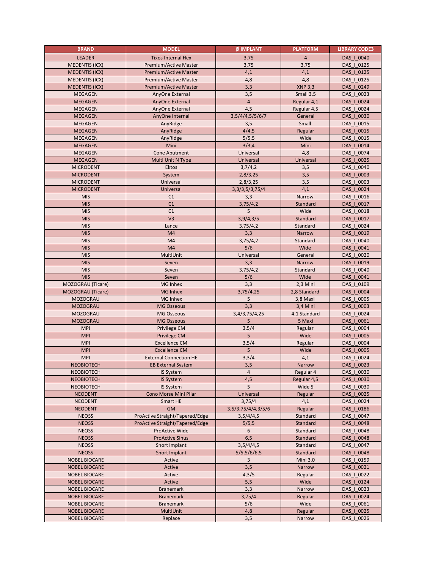| <b>BRAND</b>          | <b>MODEL</b>                    | Ø IMPLANT            | <b>PLATFORM</b> | <b>LIBRARY CODE3</b> |
|-----------------------|---------------------------------|----------------------|-----------------|----------------------|
| <b>LEADER</b>         | <b>Tixos Internal Hex</b>       | 3,75                 | $\overline{4}$  | DAS   0040           |
| <b>MEDENTIS (ICX)</b> | Premium/Active Master           | 3,75                 | 3,75            | DAS   0125           |
| <b>MEDENTIS (ICX)</b> | <b>Premium/Active Master</b>    | 4,1                  | 4,1             | DAS   0125           |
| <b>MEDENTIS (ICX)</b> | Premium/Active Master           | 4,8                  | 4,8             | DAS_I_0125           |
| <b>MEDENTIS (ICX)</b> | Premium/Active Master           | 3,3                  | <b>XNP 3,3</b>  | DAS   0249           |
| <b>MEGAGEN</b>        | AnyOne External                 | 3,5                  | Small 3,5       | DAS   0023           |
| <b>MEGAGEN</b>        | AnyOne External                 | $\overline{4}$       | Regular 4,1     | DAS   0024           |
| <b>MEGAGEN</b>        | AnyOne External                 | 4,5                  | Regular 4,5     | DAS   0024           |
| <b>MEGAGEN</b>        | AnyOne Internal                 | 3,5/4/4,5/5/6/7      | General         | DAS   0030           |
| <b>MEGAGEN</b>        | AnyRidge                        | 3,5                  | Small           | DAS   0015           |
| <b>MEGAGEN</b>        | AnyRidge                        | 4/4,5                | Regular         | DAS   0015           |
| <b>MEGAGEN</b>        | AnyRidge                        | 5/5,5                | Wide            | DAS   0015           |
| <b>MEGAGEN</b>        | Mini                            | 3/3,4                | Mini            | DAS   0014           |
| <b>MEGAGEN</b>        | Cone Abutment                   | Universal            | 4,8             | DAS   0074           |
| <b>MEGAGEN</b>        | Multi Unit N Type               | Universal            | Universal       | DAS   0025           |
| <b>MICRODENT</b>      | Ektos                           | 3,7/4,2              | 3,5             | DAS   0040           |
| <b>MICRODENT</b>      | System                          | 2,8/3,25             | 3,5             | DAS   0003           |
| <b>MICRODENT</b>      | Universal                       | 2,8/3,25             | 3,5             | DAS   0003           |
| <b>MICRODENT</b>      | Universal                       | 3, 3/ 3, 5/ 3, 75/ 4 | 4,1             | DAS   0024           |
| <b>MIS</b>            | C1                              | 3,3                  | Narrow          | DAS   0016           |
| <b>MIS</b>            | C1                              | 3,75/4,2             | Standard        | DAS   0017           |
| <b>MIS</b>            | C1                              | 5                    | Wide            | DAS   0018           |
| <b>MIS</b>            | V <sub>3</sub>                  | 3,9/4,3/5            | Standard        | DAS   0017           |
| <b>MIS</b>            | Lance                           | 3,75/4,2             | Standard        | DAS   0024           |
| <b>MIS</b>            | M4                              | 3,3                  | Narrow          | DAS   0019           |
| <b>MIS</b>            | M4                              | 3,75/4,2             | Standard        | DAS   0040           |
| <b>MIS</b>            | M <sub>4</sub>                  | 5/6                  | Wide            | DAS   0041           |
| <b>MIS</b>            | MultiUnit                       | Universal            | General         | DAS   0020           |
| <b>MIS</b>            | Seven                           | 3,3                  | Narrow          | DAS   0019           |
| <b>MIS</b>            | Seven                           | 3,75/4,2             | Standard        | DAS_I_0040           |
| <b>MIS</b>            | Seven                           | 5/6                  | Wide            | DAS   0041           |
| MOZOGRAU (Ticare)     | <b>MG Inhex</b>                 | 3,3                  | 2,3 Mini        | DAS   0109           |
| MOZOGRAU (Ticare)     | <b>MG Inhex</b>                 | 3,75/4,25            | 2,8 Standard    | DAS   0004           |
| <b>MOZOGRAU</b>       | MG Inhex                        | 5                    | 3,8 Maxi        | DAS   0005           |
| <b>MOZOGRAU</b>       | <b>MG Osseous</b>               | 3,3                  | 3,4 Mini        | DAS   0003           |
| <b>MOZOGRAU</b>       | <b>MG Osseous</b>               | 3,4/3,75/4,25        | 4,1 Standard    | DAS   0024           |
| <b>MOZOGRAU</b>       | <b>MG Osseous</b>               | 5                    | 5 Maxi          | DAS   0061           |
| <b>MPI</b>            | Privilege CM                    | 3,5/4                | Regular         | DAS   0004           |
| <b>MPI</b>            | Privilege CM                    | 5                    | Wide            | DAS   0005           |
| <b>MPI</b>            | <b>Excellence CM</b>            | 3,5/4                | Regular         | DAS   0004           |
| <b>MPI</b>            | <b>Excellence CM</b>            | 5                    | Wide            | DAS   0005           |
| <b>MPI</b>            | <b>External Connection HE</b>   | 3,3/4                | 4,1             | DAS   0024           |
| <b>NEOBIOTECH</b>     | <b>EB External System</b>       | 3,5                  | Narrow          | DAS   0023           |
| <b>NEOBIOTECH</b>     | IS System                       | $\overline{4}$       | Regular 4       | DAS   0030           |
| <b>NEOBIOTECH</b>     | IS System                       | 4,5                  | Regular 4,5     | DAS   0030           |
| NEOBIOTECH            | IS System                       | 5                    | Wide 5          | DAS   0030           |
| <b>NEODENT</b>        | Cono Morse Mini Pilar           | Universal            | Regular         | DAS   0025           |
| <b>NEODENT</b>        | Smart HE                        | 3,75/4               | 4,1             | DAS   0024           |
| <b>NEODENT</b>        | <b>GM</b>                       | 3,5/3,75/4/4,3/5/6   | Regular         | DAS   0186           |
| <b>NEOSS</b>          | ProActive Straight/Tapered/Edge | 3,5/4/4,5            | Standard        | DAS   0047           |
| <b>NEOSS</b>          | ProActive Straight/Tapered/Edge | 5/5,5                | Standard        | DAS   0048           |
| <b>NEOSS</b>          | ProActive Wide                  | 6                    | Standard        | DAS   0048           |
| <b>NEOSS</b>          | <b>ProActive Sinus</b>          | 6,5                  | Standard        | DAS   0048           |
| <b>NEOSS</b>          | Short Implant                   | 3,5/4/4,5            | Standard        | DAS   0047           |
| <b>NEOSS</b>          | Short Implant                   | 5/5, 5/6/6, 5        | Standard        | DAS   0048           |
| <b>NOBEL BIOCARE</b>  | Active                          | 3                    | <b>Mini 3.0</b> | DAS_I_0159           |
| <b>NOBEL BIOCARE</b>  | Active                          | 3,5                  | Narrow          | DAS   0021           |
| <b>NOBEL BIOCARE</b>  | Active                          | 4,3/5                | Regular         | DAS   0022           |
| <b>NOBEL BIOCARE</b>  | Active                          | 5,5                  | Wide            | DAS   0124           |
| <b>NOBEL BIOCARE</b>  | <b>Branemark</b>                | 3,3                  | Narrow          | DAS   0023           |
| <b>NOBEL BIOCARE</b>  | <b>Branemark</b>                | 3,75/4               | Regular         | DAS_I_0024           |
| <b>NOBEL BIOCARE</b>  | <b>Branemark</b>                | 5/6                  | Wide            | DAS   0061           |
| <b>NOBEL BIOCARE</b>  | MultiUnit                       | 4,8                  | Regular         | DAS   0025           |
| <b>NOBEL BIOCARE</b>  | Replace                         | 3,5                  | Narrow          | DAS   0026           |
|                       |                                 |                      |                 |                      |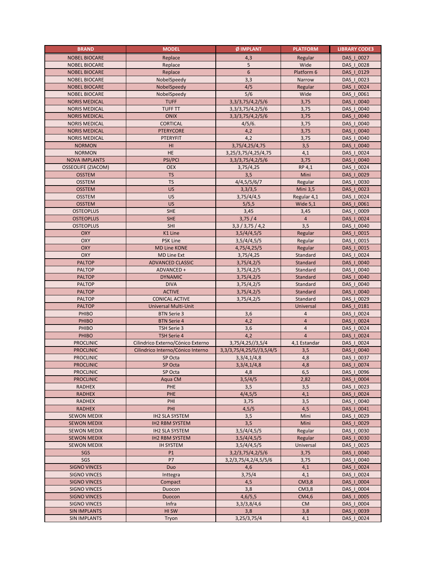| <b>BRAND</b>                             | <b>MODEL</b>                                   | Ø IMPLANT                    | <b>PLATFORM</b> | <b>LIBRARY CODE3</b>     |
|------------------------------------------|------------------------------------------------|------------------------------|-----------------|--------------------------|
| <b>NOBEL BIOCARE</b>                     | Replace                                        | 4,3                          | Regular         | DAS   0027               |
| <b>NOBEL BIOCARE</b>                     | Replace                                        | 5                            | Wide            | DAS   0028               |
| <b>NOBEL BIOCARE</b>                     | Replace                                        | 6                            | Platform 6      | DAS   0129               |
| <b>NOBEL BIOCARE</b>                     | NobelSpeedy                                    | 3,3                          | Narrow          | DAS   0023               |
| <b>NOBEL BIOCARE</b>                     | NobelSpeedy                                    | 4/5                          | Regular         | DAS   0024               |
| <b>NOBEL BIOCARE</b>                     | NobelSpeedy                                    | 5/6                          | Wide            | DAS   0061               |
| <b>NORIS MEDICAL</b>                     | <b>TUFF</b>                                    | 3, 3/ 3, 75/ 4, 2/ 5/ 6      | 3,75            | DAS   0040               |
| <b>NORIS MEDICAL</b>                     | <b>TUFF TT</b>                                 | 3, 3/ 3, 75/ 4, 2/ 5/ 6      | 3,75            | DAS   0040               |
| <b>NORIS MEDICAL</b>                     | <b>ONIX</b>                                    | 3, 3/ 3, 75/ 4, 2/ 5/ 6      | 3,75            | DAS   0040               |
| <b>NORIS MEDICAL</b>                     | <b>CORTICAL</b>                                | 4/5/6.                       | 3,75            | DAS   0040               |
| <b>NORIS MEDICAL</b>                     | <b>PTERYCORE</b>                               | 4,2                          | 3,75            | DAS   0040               |
| <b>NORIS MEDICAL</b>                     | PTERYFIT                                       | 4,2                          | 3,75            | DAS   0040               |
| <b>NORMON</b>                            | HI                                             | 3,75/4,25/4,75               | 3,5             | DAS   0040               |
| <b>NORMON</b>                            | HE                                             | 3,25/3,75/4,25/4,75          | 4,1             | DAS   0024               |
| <b>NOVA IMPLANTS</b>                     | <b>PSI/PCI</b>                                 | 3, 3/ 3, 75/ 4, 2/ 5/ 6      | 3,75            | DAS   0040               |
| <b>OSSEOLIFE (ZIACOM)</b>                | <b>OEX</b>                                     | 3,75/4,25                    | RP 4,1          | DAS   0024               |
|                                          | <b>TS</b>                                      |                              | Mini            |                          |
| <b>OSSTEM</b>                            |                                                | 3,5                          |                 | DAS   0029               |
| <b>OSSTEM</b>                            | <b>TS</b>                                      | 4/4,5/5/6/7                  | Regular         | DAS   0030               |
| <b>OSSTEM</b>                            | <b>US</b>                                      | 3,3/3,5                      | <b>Mini 3,5</b> | DAS   0023               |
| <b>OSSTEM</b>                            | US                                             | 3,75/4/4,5                   | Regular 4,1     | DAS   0024               |
| <b>OSSTEM</b>                            | US                                             | 5/5,5                        | Wide $5,1$      | DAS   0061               |
| <b>OSTEOPLUS</b>                         | SHE                                            | 3,45                         | 3,45            | DAS   0009               |
| <b>OSTEOPLUS</b>                         | <b>SHE</b>                                     | 3,75/4                       | $\overline{4}$  | DAS   0024               |
| <b>OSTEOPLUS</b>                         | SHI                                            | 3,3/3,75/4,2                 | 3,5             | DAS   0040               |
| <b>OXY</b>                               | K1 Line                                        | 3,5/4/4,5/5                  | Regular         | DAS   0015               |
| OXY                                      | <b>PSK Line</b>                                | 3,5/4/4,5/5                  | Regular         | DAS   0015               |
| <b>OXY</b>                               | <b>MD Line KONE</b>                            | 4,75/4,25/5                  | Regular         | DAS   0015               |
| OXY                                      | <b>MD Line Ext</b>                             | 3,75/4,25                    | Standard        | DAS   0024               |
| <b>PALTOP</b>                            | <b>ADVANCED CLASSIC</b>                        | 3,75/4,2/5                   | Standard        | DAS   0040               |
| <b>PALTOP</b>                            | ADVANCED +                                     | 3,75/4,2/5                   | Standard        | DAS   0040               |
| <b>PALTOP</b>                            | <b>DYNAMIC</b>                                 | 3,75/4,2/5                   | Standard        | DAS   0040               |
| <b>PALTOP</b>                            | <b>DIVA</b>                                    | 3,75/4,2/5                   | Standard        | DAS   0040               |
| <b>PALTOP</b>                            | <b>ACTIVE</b>                                  | 3,75/4,2/5                   | Standard        | DAS   0040               |
| <b>PALTOP</b>                            | <b>CONICAL ACTIVE</b>                          | 3,75/4,2/5                   | Standard        | DAS   0029               |
| <b>PALTOP</b>                            | Universal Multi-Unit                           |                              | Universal       | DAS   0181               |
| PHIBO                                    | <b>BTN Serie 3</b>                             | 3,6                          | $\overline{4}$  | DAS   0024               |
| PHIBO                                    | <b>BTN Serie 4</b>                             | 4,2                          | $\overline{4}$  | DAS   0024               |
| PHIBO                                    | TSH Serie 3                                    | 3,6                          | $\overline{4}$  | DAS   0024               |
| PHIBO                                    | TSH Serie 4                                    | 4,2                          | $\overline{4}$  | DAS   0024               |
| <b>PROCLINIC</b>                         | Cilindrico Externo/Cónico Externo              | 3,75/4,25//3,5/4             | 4,1 Estandar    | DAS   0024               |
| <b>PROCLINIC</b>                         | Cilindrico Interno/Cónico Interno              | 3, 3/3, 75/4, 25/5//3, 5/4/5 | 3,5             | DAS   0040               |
| <b>PROCLINIC</b>                         | SP Octa                                        | 3,3/4,1/4,8                  | 4,8             | DAS   0037               |
| <b>PROCLINIC</b>                         | SP Octa                                        | 3,3/4,1/4,8                  | 4,8             | DAS   0074               |
| <b>PROCLINIC</b>                         | SP Octa                                        | 4,8                          | 6,5             | DAS   0096               |
| <b>PROCLINIC</b>                         | Aqua CM                                        | 3,5/4/5                      | 2,82            | DAS   0004               |
| <b>RADHEX</b>                            | PHE                                            | 3,5                          | 3,5             | DAS   0023               |
| <b>RADHEX</b>                            | PHE                                            | 4/4,5/5                      | 4,1             | DAS   0024               |
| <b>RADHEX</b>                            | PHI                                            | 3,75                         | 3,5             | DAS   0040               |
| <b>RADHEX</b>                            | PHI                                            | 4,5/5                        | 4,5             | DAS   0041               |
| <b>SEWON MEDIX</b>                       | <b>IH2 SLA SYSTEM</b>                          | 3,5                          | Mini            | DAS   0029               |
|                                          |                                                |                              |                 |                          |
| <b>SEWON MEDIX</b><br><b>SEWON MEDIX</b> | <b>IH2 RBM SYSTEM</b><br><b>IH2 SLA SYSTEM</b> | 3,5<br>3,5/4/4,5/5           | Mini<br>Regular | DAS   0029<br>DAS   0030 |
|                                          |                                                |                              |                 |                          |
| <b>SEWON MEDIX</b>                       | <b>IH2 RBM SYSTEM</b>                          | 3,5/4/4,5/5                  | Regular         | DAS   0030               |
| <b>SEWON MEDIX</b>                       | <b>IH SYSTEM</b>                               | 3,5/4/4,5/5                  | Universal       | DAS_I_0025               |
| SGS                                      | P1                                             | 3, 2/3, 75/4, 2/5/6          | 3,75            | DAS   0040               |
| SGS                                      | P7                                             | 3, 2/3, 75/4, 2/4, 5/5/6     | 3,75            | DAS   0040               |
| <b>SIGNO VINCES</b>                      | Duo                                            | 4,6                          | 4,1             | DAS   0024               |
| <b>SIGNO VINCES</b>                      | Inttegra                                       | 3,75/4                       | 4,1             | DAS   0024               |
| <b>SIGNO VINCES</b>                      | Compact                                        | 4,5                          | CM3,8           | DAS   0004               |
| <b>SIGNO VINCES</b>                      | Duocon                                         | 3,8                          | CM3,8           | DAS   0004               |
| <b>SIGNO VINCES</b>                      | Duocon                                         | 4,6/5,5                      | CM4,6           | DAS   0005               |
| <b>SIGNO VINCES</b>                      | Infra                                          | 3.3/3.8/4.6                  | <b>CM</b>       | DAS   0004               |
| <b>SIN IMPLANTS</b>                      | HI SW                                          | 3,8                          | 3,8             | DAS   0039               |
| <b>SIN IMPLANTS</b>                      | Tryon                                          | 3,25/3,75/4                  | 4,1             | DAS   0024               |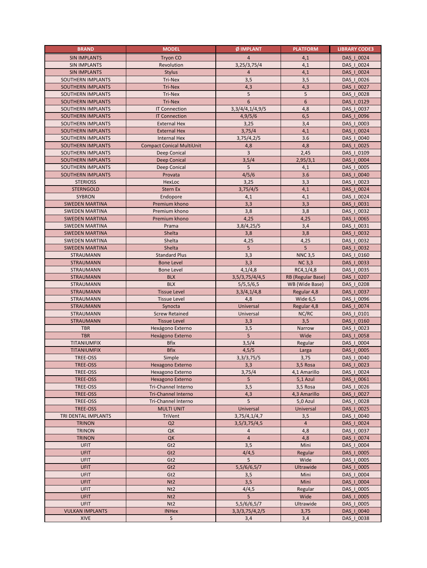| <b>BRAND</b>                  | <b>MODEL</b>                           | Ø IMPLANT                           | <b>PLATFORM</b>                  | <b>LIBRARY CODE3</b>     |
|-------------------------------|----------------------------------------|-------------------------------------|----------------------------------|--------------------------|
| <b>SIN IMPLANTS</b>           | Tryon CO                               | $\overline{a}$                      | 4,1                              | DAS   0024               |
| <b>SIN IMPLANTS</b>           | Revolution                             | 3,25/3,75/4                         | 4,1                              | DAS   0024               |
| <b>SIN IMPLANTS</b>           | <b>Stylus</b>                          | $\overline{4}$                      | 4,1                              | DAS   0024               |
| SOUTHERN IMPLANTS             | Tri-Nex                                | 3,5                                 | 3,5                              | DAS_I_0026               |
| <b>SOUTHERN IMPLANTS</b>      | Tri-Nex                                | 4,3                                 | 4,3                              | DAS   0027               |
| SOUTHERN IMPLANTS             | Tri-Nex                                | 5                                   | 5                                | DAS   0028               |
| SOUTHERN IMPLANTS             | Tri-Nex                                | 6                                   | 6                                | DAS   0129               |
| SOUTHERN IMPLANTS             | <b>IT Connection</b>                   | 3, 3/4/4, 1/4, 9/5                  | 4,8                              | DAS   0037               |
| SOUTHERN IMPLANTS             | <b>IT Connection</b>                   | 4,9/5/6                             | 6, 5                             | DAS   0096               |
| SOUTHERN IMPLANTS             | <b>External Hex</b>                    | 3,25                                | 3,4                              | DAS   0003               |
| <b>SOUTHERN IMPLANTS</b>      | <b>External Hex</b>                    | 3,75/4                              | 4,1                              | DAS   0024               |
| SOUTHERN IMPLANTS             | <b>Internal Hex</b>                    | 3,75/4,2/5                          | 3.6                              | DAS   0040               |
| <b>SOUTHERN IMPLANTS</b>      | <b>Compact Conical MultiUnit</b>       | 4,8                                 | 4,8                              | DAS   0025               |
| SOUTHERN IMPLANTS             | Deep Conical                           | $\overline{3}$                      | 2,45                             | DAS   0109               |
| SOUTHERN IMPLANTS             | Deep Conical                           | 3,5/4                               | 2,95/3,1                         | DAS   0004               |
| SOUTHERN IMPLANTS             | Deep Conical                           | 5                                   | 4,1                              | DAS   0005               |
| SOUTHERN IMPLANTS             | Provata                                | 4/5/6                               | 3.6                              | DAS   0040               |
| <b>STERIOSS</b>               | HexLoc                                 | 3,25                                | 3,3                              | DAS   0023               |
| <b>STERNGOLD</b>              | Stern Ex                               | 3,75/4/5                            | 4,1                              | DAS   0024               |
| <b>SYBRON</b>                 | Endopore                               | 4,1                                 | 4,1                              | DAS   0024               |
| <b>SWEDEN MARTINA</b>         | Premium khono                          | 3,3                                 | 3,3                              | DAS   0031               |
| <b>SWEDEN MARTINA</b>         | Premium khono                          | 3,8                                 | 3,8                              | DAS   0032               |
| <b>SWEDEN MARTINA</b>         | Premium khono                          | 4,25                                | 4,25                             | DAS   0065               |
| <b>SWEDEN MARTINA</b>         | Prama                                  | 3,8/4,25/5                          | 3,4                              | DAS   0031               |
| <b>SWEDEN MARTINA</b>         | Shelta                                 | 3,8                                 | 3,8                              | DAS   0032               |
| <b>SWEDEN MARTINA</b>         | Shelta                                 | 4,25                                | 4,25                             | DAS   0032               |
| <b>SWEDEN MARTINA</b>         | Shelta                                 | $5\phantom{.0}$                     | 5                                | DAS   0032               |
| STRAUMANN                     | <b>Standard Plus</b>                   | 3,3                                 | <b>NNC 3,5</b>                   | DAS_I_0160<br>DAS   0033 |
| <b>STRAUMANN</b><br>STRAUMANN | <b>Bone Level</b><br><b>Bone Level</b> | 3,3<br>4,1/4,8                      | <b>NC 3,3</b>                    |                          |
| <b>STRAUMANN</b>              | <b>BLX</b>                             | 3,5/3,75/4/4,5                      | RC4, 1/4, 8<br>RB (Regular Base) | DAS   0035<br>DAS   0207 |
| STRAUMANN                     | <b>BLX</b>                             | 5/5, 5/6, 5                         | WB (Wide Base)                   | DAS   0208               |
| <b>STRAUMANN</b>              | <b>Tissue Level</b>                    | 3,3/4,1/4,8                         | Regular 4,8                      | DAS   0037               |
| STRAUMANN                     | <b>Tissue Level</b>                    | 4,8                                 | Wide 6,5                         | DAS   0096               |
| <b>STRAUMANN</b>              | Synocta                                | Universal                           | Regular 4,8                      | DAS   0074               |
| STRAUMANN                     | <b>Screw Retained</b>                  | Universal                           | NC/RC                            | DAS   0101               |
| <b>STRAUMANN</b>              | <b>Tissue Level</b>                    | 3,3                                 | 3,5                              | DAS   0160               |
| <b>TBR</b>                    | Hexágono Externo                       | 3,5                                 | Narrow                           | DAS   0023               |
| <b>TBR</b>                    | Hexágono Externo                       | 5                                   | Wide                             | DAS   0058               |
| TITANIUMFIX                   | <b>Bfix</b>                            | 3,5/4                               | Regular                          | DAS   0004               |
| TITANIUMFIX                   | <b>Bfix</b>                            | 4,5/5                               | Larga                            | DAS   0005               |
| TREE-OSS                      | Simple                                 | 3,3/3,75/5                          | 3,75                             | DAS   0040               |
| <b>TREE-OSS</b>               | Hexagono Externo                       | 3,3                                 | 3,5 Rosa                         | DAS   0023               |
| TREE-OSS                      | Hexagono Externo                       | 3,75/4                              | 4,1 Amarillo                     | DAS   0024               |
| TREE-OSS                      | Hexagono Externo                       | 5                                   | 5,1 Azul                         | DAS   0061               |
| TREE-OSS                      | Tri-Channel Interno                    | 3,5                                 | 3,5 Rosa                         | DAS   0026               |
| TREE-OSS                      | <b>Tri-Channel Interno</b>             | 4,3                                 | 4,3 Amarillo                     | DAS   0027               |
| TREE-OSS                      | Tri-Channel Interno                    | 5                                   | 5,0 Azul                         | DAS   0028               |
| <b>TREE-OSS</b>               | <b>MULTI UNIT</b>                      | Universal                           | Universal                        | DAS   0025               |
| TRI DENTAL IMPLANTS           | TriVent                                | 3,75/4,1/4,7                        | 3,5                              | DAS   0040               |
| <b>TRINON</b>                 | Q2                                     | 3,5/3,75/4,5                        | $\overline{4}$                   | DAS   0024               |
| <b>TRINON</b>                 | QK                                     | 4                                   | 4,8                              | DAS   0037               |
| <b>TRINON</b>                 | QK                                     | $\overline{4}$                      | 4,8                              | DAS   0074               |
| <b>UFIT</b>                   | Gt <sub>2</sub>                        | 3,5                                 | Mini                             | DAS_I_0004               |
| <b>UFIT</b>                   | Gt <sub>2</sub>                        | 4/4,5                               | Regular                          | DAS   0005               |
| <b>UFIT</b>                   | Gt <sub>2</sub>                        | 5                                   | Wide                             | DAS_I_0005               |
| <b>UFIT</b>                   | Gt <sub>2</sub>                        | 5,5/6/6,5/7                         | <b>Ultrawide</b>                 | DAS   0005               |
| <b>UFIT</b>                   | Gt <sub>2</sub>                        | 3,5                                 | Mini                             | DAS   0004               |
| <b>UFIT</b>                   | N <sub>t</sub> 2                       | 3,5                                 | Mini                             | DAS   0004               |
| <b>UFIT</b>                   | N <sub>t</sub> 2                       | 4/4,5                               | Regular                          | DAS   0005               |
| <b>UFIT</b><br><b>UFIT</b>    | N <sub>t</sub> 2<br>N <sub>t2</sub>    | 5                                   | Wide<br>Ultrawide                | DAS   0005<br>DAS   0005 |
| <b>VULKAN IMPLANTS</b>        | <b>INHex</b>                           | 5,5/6/6,5/7<br>3, 3/ 3, 75/ 4, 2/ 5 | 3,75                             | DAS   0040               |
| <b>XIVE</b>                   | S                                      | 3,4                                 | 3,4                              | DAS   0038               |
|                               |                                        |                                     |                                  |                          |